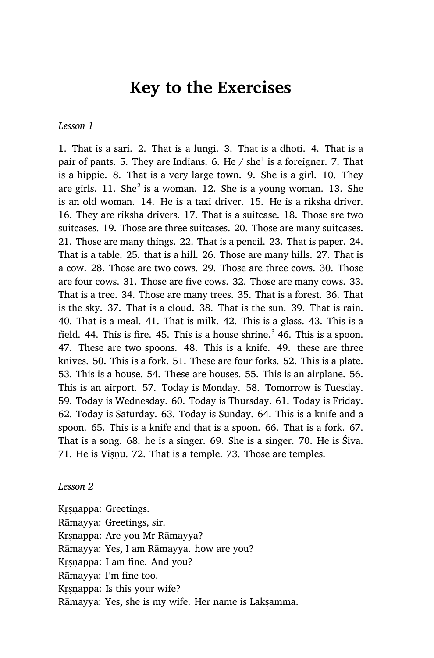# **Key to the Exercises**

*Lesson 1*

1. That is a sari. 2. That is a lungi. 3. That is a dhoti. 4. That is a pair of pants. 5. They are Indians. 6. He / she $^1$  is a foreigner. 7. That is a hippie. 8. That is a very large town. 9. She is a girl. 10. They are girls.  $11.$  She $^2$  is a woman.  $12.$  She is a young woman.  $13.$  She is an old woman. 14. He is a taxi driver. 15. He is a riksha driver. 16. They are riksha drivers. 17. That is a suitcase. 18. Those are two suitcases. 19. Those are three suitcases. 20. Those are many suitcases. 21. Those are many things. 22. That is a pencil. 23. That is paper. 24. That is a table. 25. that is a hill. 26. Those are many hills. 27. That is a cow. 28. Those are two cows. 29. Those are three cows. 30. Those are four cows. 31. Those are five cows. 32. Those are many cows. 33. That is a tree. 34. Those are many trees. 35. That is a forest. 36. That is the sky. 37. That is a cloud. 38. That is the sun. 39. That is rain. 40. That is a meal. 41. That is milk. 42. This is a glass. 43. This is a field. 44. This is fire. 45. This is a house shrine.<sup>3</sup> 46. This is a spoon. 47. These are two spoons. 48. This is a knife. 49. these are three knives. 50. This is a fork. 51. These are four forks. 52. This is a plate. 53. This is a house. 54. These are houses. 55. This is an airplane. 56. This is an airport. 57. Today is Monday. 58. Tomorrow is Tuesday. 59. Today is Wednesday. 60. Today is Thursday. 61. Today is Friday. 62. Today is Saturday. 63. Today is Sunday. 64. This is a knife and a spoon. 65. This is a knife and that is a spoon. 66. That is a fork. 67. That is a song. 68. he is a singer. 69. She is a singer. 70. He is Śiva. 71. He is Viṣṇu. 72. That is a temple. 73. Those are temples.

*Lesson 2*

Kṛṣṇappa: Greetings. Rāmayya: Greetings, sir. Krsnappa: Are you Mr Rāmayya? Rāmayya: Yes, I am Rāmayya. how are you? Kṛṣṇappa: I am fine. And you? Rāmayya: I'm fine too. Krsnappa: Is this your wife? Rāmayya: Yes, she is my wife. Her name is Lakṣamma.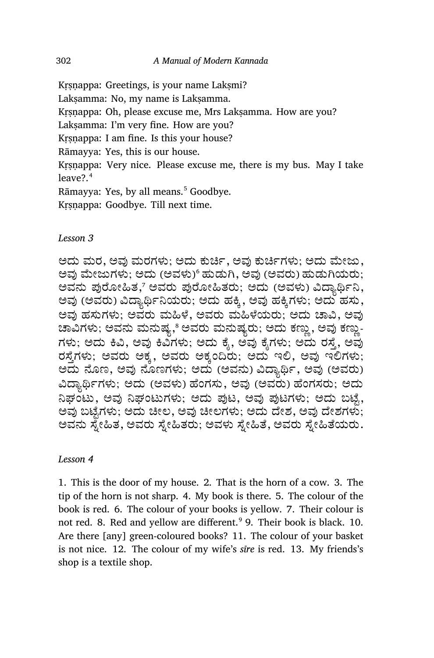Kṛṣṇappa: Greetings, is your name Lakṣmi?

Lakṣamma: No, my name is Lakṣamma.

Krsnappa: Oh, please excuse me, Mrs Laksamma. How are you?

Laksamma: I'm very fine. How are you?

Krsnappa: I am fine. Is this your house?

Rāmayya: Yes, this is our house.

Krsnappa: Very nice. Please excuse me, there is my bus. May I take leave?.<sup>4</sup>

Rāmayya: Yes, by all means.<sup>5</sup> Goodbye.

Kṛṣṇappa: Goodbye. Till next time.

*Lesson 3*

ಅದು ಮರ, ಅವು ಮರಗಳು; ಅದು ಕುರ್ಚಿ, ಅವು ಕುರ್ಚಿಗಳು; ಅದು ಮೇಜು, ಅವು ಮೇಜುಗಳು; ಅದು (ಅವಳು)್ ಹುಡುಗಿ, ಅವು (ಅವರು) ಹುಡುಗಿಯರು; ಅವನು ಪುರೋಹಿತ,7 ಅವರು ಪುರೋಹಿತರು; ಅದು (ಅವಳು) ವಿದ್ಯಾರ್ಥಿನಿ, ಅವು (ಅವರು) ವಿದ್ಯಾರ್ಥಿನಿಯರು; ಅದು ಹಕ್ಕಿ, ಅವು ಹಕ್ಕಿಗಳು; ಅದು ಹಸು, ಅವು ಹಸುಗಳು; ಅವರು ಮಹಿಳೆ, ಅವರು ಮಹಿಳೆಯರು; ಅದು ಚಾವಿ, ಅವು ಚಾವಿಗಳು; ಅವನು ಮನುಷ್ಯ,ೆ ಅವರು ಮನುಷ್ಯರು; ಅದು ಕಣ್ಣು, ಅವು ಕಣ್ಣು-ಗಳು; ಅದು ಕಿವಿ, ಅವು ಕಿವಿಗಳು; ಅದು ಕ್ಶೆ, ಅವು ಕೈಗಳು; ಅದು ರಸ್ತೆ, ಅವು ರಸ್ತೆಗಳು; ಅವರು ಅಕ್ಕ, ಅವರು ಅಕ್ಕಂದಿರು; ಅದು ಇಲಿ, ಅವು ಇಲಿಗಳು; ಅದು ನೊಣ, ಅವು ನೊಣಗಳು; ಅದು (ಅವನು) ವಿದ್ಯಾರ್ಥಿ, ಅವು (ಅವರು) ವಿದ್ಯಾರ್ಥಿಗಳು; ಅದು (ಅವಳು) ಹೆಂಗಸು, ಅವು (ಅವರು) ಹೆಂಗಸರು; ಅದು ನಿಘಂಟು, ಅವು ನಿಘಂಟುಗಳು; ಅದು ಪುಟ, ಅವು ಪುಟಗಳು; ಅದು ಬಟ್ಟೆ, ಅವು ಬಟ್ಟೆಗಳು; ಅದು ಚೀಲ, ಅವು ಚೀಲಗಳು; ಅದು ದೇಶ, ಅವು ದೇಶಗಳು; ಅವನು ಸ್ನೇಹಿತ, ಅವರು ಸ್ನೇಹಿತರು; ಅವಳು ಸ್ನೇಹಿತೆ, ಅವರು ಸ್ನೇಹಿತೆಯರು.

# *Lesson 4*

1. This is the door of my house. 2. That is the horn of a cow. 3. The tip of the horn is not sharp. 4. My book is there. 5. The colour of the book is red. 6. The colour of your books is yellow. 7. Their colour is not red. 8. Red and yellow are different.<sup>9</sup> 9. Their book is black. 10. Are there [any] green-coloured books? 11. The colour of your basket is not nice. 12. The colour of my wife's *sīre* is red. 13. My friends's shop is a textile shop.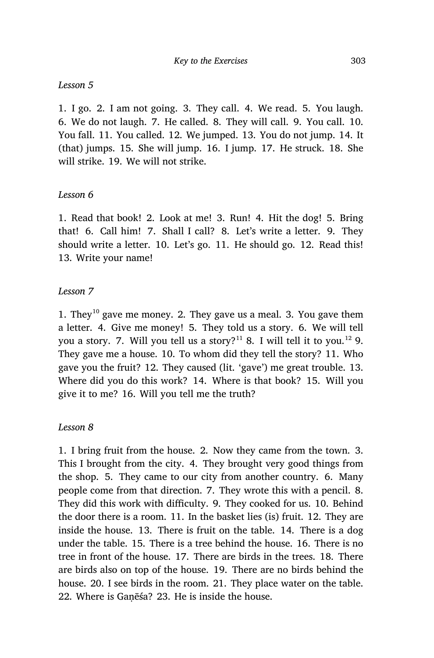#### *Lesson 5*

1. I go. 2. I am not going. 3. They call. 4. We read. 5. You laugh. 6. We do not laugh. 7. He called. 8. They will call. 9. You call. 10. You fall. 11. You called. 12. We jumped. 13. You do not jump. 14. It (that) jumps. 15. She will jump. 16. I jump. 17. He struck. 18. She will strike. 19. We will not strike.

#### *Lesson 6*

1. Read that book! 2. Look at me! 3. Run! 4. Hit the dog! 5. Bring that! 6. Call him! 7. Shall I call? 8. Let's write a letter. 9. They should write a letter. 10. Let's go. 11. He should go. 12. Read this! 13. Write your name!

#### *Lesson 7*

1. They<sup>10</sup> gave me money. 2. They gave us a meal. 3. You gave them a letter. 4. Give me money! 5. They told us a story. 6. We will tell you a story. 7. Will you tell us a story?<sup>11</sup> 8. I will tell it to you.<sup>12</sup> 9. They gave me a house. 10. To whom did they tell the story? 11. Who gave you the fruit? 12. They caused (lit. 'gave') me great trouble. 13. Where did you do this work? 14. Where is that book? 15. Will you give it to me? 16. Will you tell me the truth?

#### *Lesson 8*

1. I bring fruit from the house. 2. Now they came from the town. 3. This I brought from the city. 4. They brought very good things from the shop. 5. They came to our city from another country. 6. Many people come from that direction. 7. They wrote this with a pencil. 8. They did this work with difficulty. 9. They cooked for us. 10. Behind the door there is a room. 11. In the basket lies (is) fruit. 12. They are inside the house. 13. There is fruit on the table. 14. There is a dog under the table. 15. There is a tree behind the house. 16. There is no tree in front of the house. 17. There are birds in the trees. 18. There are birds also on top of the house. 19. There are no birds behind the house. 20. I see birds in the room. 21. They place water on the table. 22. Where is Gaṇēśa? 23. He is inside the house.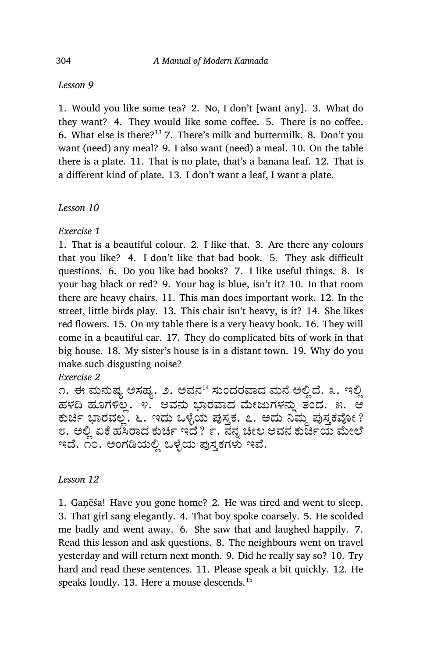#### Lesson 9

1. Would you like some tea? 2. No, I don't [want any]. 3. What do they want? 4. They would like some coffee. 5. There is no coffee. 6. What else is there?<sup>13</sup> 7. There's milk and buttermilk. 8. Don't you want (need) any meal? 9. I also want (need) a meal. 10. On the table there is a plate. 11. That is no plate, that's a banana leaf. 12. That is a different kind of plate. 13. I don't want a leaf, I want a plate.

# Lesson 10

Exercise 1

1. That is a beautiful colour. 2. I like that. 3. Are there any colours that you like? 4. I don't like that bad book. 5. They ask difficult questions. 6. Do you like bad books? 7. I like useful things. 8. Is your bag black or red? 9. Your bag is blue, isn't it? 10. In that room there are heavy chairs. 11. This man does important work. 12. In the street, little birds play. 13. This chair isn't heavy, is it? 14. She likes red flowers. 15. On my table there is a very heavy book. 16. They will come in a beautiful car. 17. They do complicated bits of work in that big house. 18. My sister's house is in a distant town. 19. Why do you make such disgusting noise?

Exercise 2

೧. ಈ ಮನುಷ್ಯ ಅಸಹ್ಯ. ೨. ಅವನ<sup>14</sup> ಸುಂದರವಾದ ಮನೆ ಅಲ್ಲಿದೆ. ೩. ಇಲ್ಲಿ ಹಳದಿ ಹೂಗಳಿಲ್ಲ. ೪. ಅವನು ಭಾರವಾದ ಮೇಜುಗಳನ್ನು ತಂದ. ೫. ಆ ಕುರ್ಚಿ ಭಾರವಲ್ಲ. ೬. ಇದು ಒಳ್ಳೆಯ ಪುಸ್ತಕ. ೭. ಅದು ನಿಮ್ಮ ಪುಸ್ತಕವೋ ? ೮. ಅಲ್ಲಿ ಏಕೆ ಹಸಿರಾದ ಕುರ್ಚಿ ಇದೆ ? ೯. ನನ್ನ ಚೀಲ ಅವನ ಕುರ್ಚಿಯ ಮೇಲೆ ಇದೆ. ೧೦. ಅಂಗಡಿಯಲ್ಲಿ ಒಳ್ಳೆಯ ಪುಸ್ತಕಗಳು ಇವೆ.

# Lesson 12

1. Ganesa! Have you gone home? 2. He was tired and went to sleep. 3. That girl sang elegantly. 4. That boy spoke coarsely. 5. He scolded me badly and went away. 6. She saw that and laughed happily. 7. Read this lesson and ask questions. 8. The neighbours went on travel yesterday and will return next month. 9. Did he really say so? 10. Try hard and read these sentences. 11. Please speak a bit quickly. 12. He speaks loudly. 13. Here a mouse descends.<sup>15</sup>

304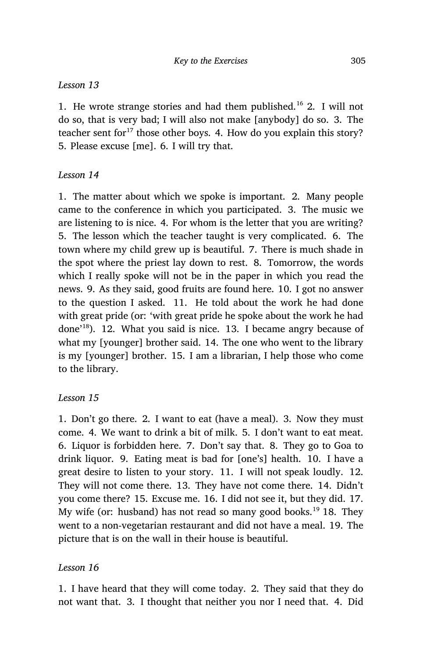# *Lesson 13*

1. He wrote strange stories and had them published.<sup>16</sup> 2. I will not do so, that is very bad; I will also not make [anybody] do so. 3. The teacher sent for $17$  those other boys. 4. How do you explain this story? 5. Please excuse [me]. 6. I will try that.

# *Lesson 14*

1. The matter about which we spoke is important. 2. Many people came to the conference in which you participated. 3. The music we are listening to is nice. 4. For whom is the letter that you are writing? 5. The lesson which the teacher taught is very complicated. 6. The town where my child grew up is beautiful. 7. There is much shade in the spot where the priest lay down to rest. 8. Tomorrow, the words which I really spoke will not be in the paper in which you read the news. 9. As they said, good fruits are found here. 10. I got no answer to the question I asked. 11. He told about the work he had done with great pride (or: 'with great pride he spoke about the work he had done'<sup>18</sup>). 12. What you said is nice. 13. I became angry because of what my [younger] brother said. 14. The one who went to the library is my [younger] brother. 15. I am a librarian, I help those who come to the library.

# *Lesson 15*

1. Don't go there. 2. I want to eat (have a meal). 3. Now they must come. 4. We want to drink a bit of milk. 5. I don't want to eat meat. 6. Liquor is forbidden here. 7. Don't say that. 8. They go to Goa to drink liquor. 9. Eating meat is bad for [one's] health. 10. I have a great desire to listen to your story. 11. I will not speak loudly. 12. They will not come there. 13. They have not come there. 14. Didn't you come there? 15. Excuse me. 16. I did not see it, but they did. 17. My wife (or: husband) has not read so many good books.<sup>19</sup> 18. They went to a non-vegetarian restaurant and did not have a meal. 19. The picture that is on the wall in their house is beautiful.

# *Lesson 16*

1. I have heard that they will come today. 2. They said that they do not want that. 3. I thought that neither you nor I need that. 4. Did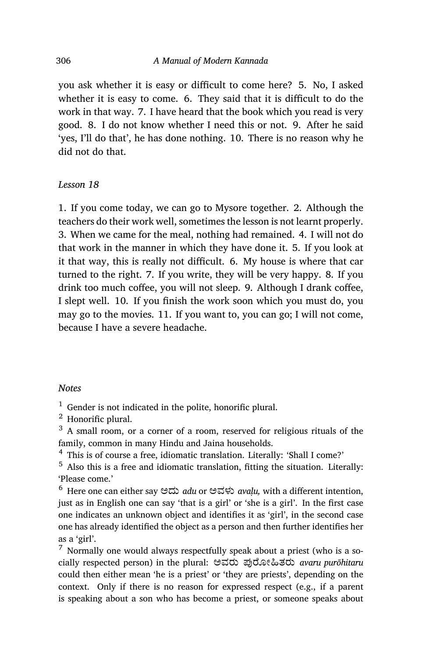you ask whether it is easy or difficult to come here? 5. No, I asked whether it is easy to come. 6. They said that it is difficult to do the work in that way. 7. I have heard that the book which you read is very good. 8. I do not know whether I need this or not. 9. After he said 'yes, I'll do that', he has done nothing. 10. There is no reason why he did not do that.

#### *Lesson 18*

1. If you come today, we can go to Mysore together. 2. Although the teachers do their work well, sometimes the lesson is not learnt properly. 3. When we came for the meal, nothing had remained. 4. I will not do that work in the manner in which they have done it. 5. If you look at it that way, this is really not difficult. 6. My house is where that car turned to the right. 7. If you write, they will be very happy. 8. If you drink too much coffee, you will not sleep. 9. Although I drank coffee, I slept well. 10. If you finish the work soon which you must do, you may go to the movies. 11. If you want to, you can go; I will not come, because I have a severe headache.

#### *Notes*

 $<sup>1</sup>$  Gender is not indicated in the polite, honorific plural.</sup>

<sup>2</sup> Honorific plural.

 $3\,$  A small room, or a corner of a room, reserved for religious rituals of the family, common in many Hindu and Jaina households.

<sup>4</sup> This is of course a free, idiomatic translation. Literally: 'Shall I come?'

<sup>5</sup> Also this is a free and idiomatic translation, fitting the situation. Literally: 'Please come.'

<sup>6</sup> Here one can either say ಅದು *adu* or ಅವಳು *avaḷu,* with a different intention, just as in English one can say 'that is a girl' or 'she is a girl'. In the first case one indicates an unknown object and identifies it as 'girl', in the second case one has already identified the object as a person and then further identifies her as a 'girl'.

 $<sup>7</sup>$  Normally one would always respectfully speak about a priest (who is a so-</sup> cially respected person) in the plural: ಅವರು ಪYೋįತರು *avaru purōhitaru* could then either mean 'he is a priest' or 'they are priests', depending on the context. Only if there is no reason for expressed respect (e.g., if a parent is speaking about a son who has become a priest, or someone speaks about